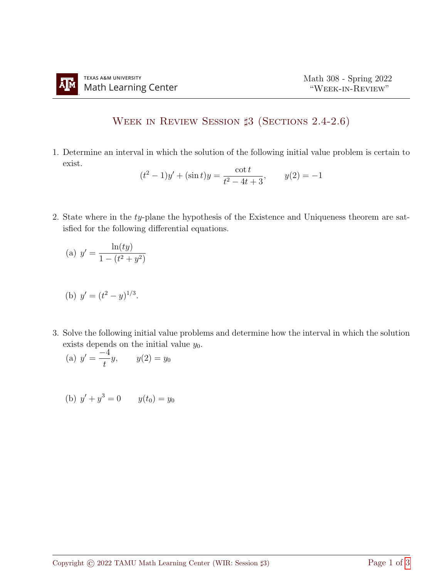## WEEK IN REVIEW SESSION  $\sharp 3$  (Sections 2.4-2.6)

1. Determine an interval in which the solution of the following initial value problem is certain to exist.

$$
(t2 - 1)y' + (\sin t)y = \frac{\cot t}{t2 - 4t + 3}, \qquad y(2) = -1
$$

2. State where in the ty-plane the hypothesis of the Existence and Uniqueness theorem are satisfied for the following differential equations.

(a) 
$$
y' = \frac{\ln(ty)}{1 - (t^2 + y^2)}
$$

(b) 
$$
y' = (t^2 - y)^{1/3}
$$
.

3. Solve the following initial value problems and determine how the interval in which the solution exists depends on the initial value  $y_0$ .

(a) 
$$
y' = \frac{-4}{t}y
$$
,  $y(2) = y_0$ 

(b) 
$$
y' + y^3 = 0
$$
  $y(t_0) = y_0$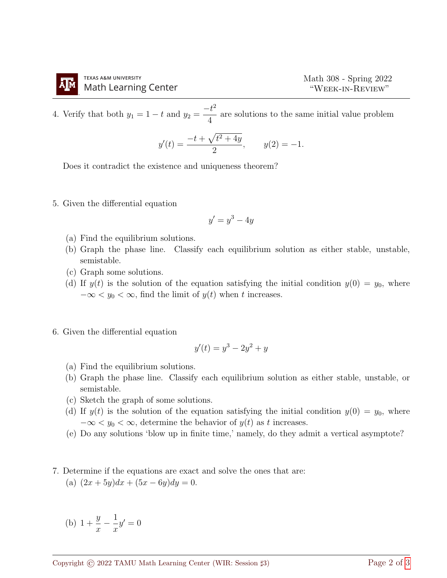4. Verify that both 
$$
y_1 = 1 - t
$$
 and  $y_2 = \frac{-t^2}{4}$  are solutions to the same initial value problem

$$
y'(t) = \frac{-t + \sqrt{t^2 + 4y}}{2}, \qquad y(2) = -1.
$$

Does it contradict the existence and uniqueness theorem?

5. Given the differential equation

$$
y' = y^3 - 4y
$$

- (a) Find the equilibrium solutions.
- (b) Graph the phase line. Classify each equilibrium solution as either stable, unstable, semistable.
- (c) Graph some solutions.
- (d) If  $y(t)$  is the solution of the equation satisfying the initial condition  $y(0) = y_0$ , where  $-\infty < y_0 < \infty$ , find the limit of  $y(t)$  when t increases.
- 6. Given the differential equation

$$
y'(t) = y^3 - 2y^2 + y
$$

- (a) Find the equilibrium solutions.
- (b) Graph the phase line. Classify each equilibrium solution as either stable, unstable, or semistable.
- (c) Sketch the graph of some solutions.
- (d) If  $y(t)$  is the solution of the equation satisfying the initial condition  $y(0) = y_0$ , where  $-\infty < y_0 < \infty$ , determine the behavior of  $y(t)$  as t increases.
- (e) Do any solutions 'blow up in finite time,' namely, do they admit a vertical asymptote?
- 7. Determine if the equations are exact and solve the ones that are:
	- (a)  $(2x + 5y)dx + (5x 6y)dy = 0.$

(b) 
$$
1 + \frac{y}{x} - \frac{1}{x}y' = 0
$$